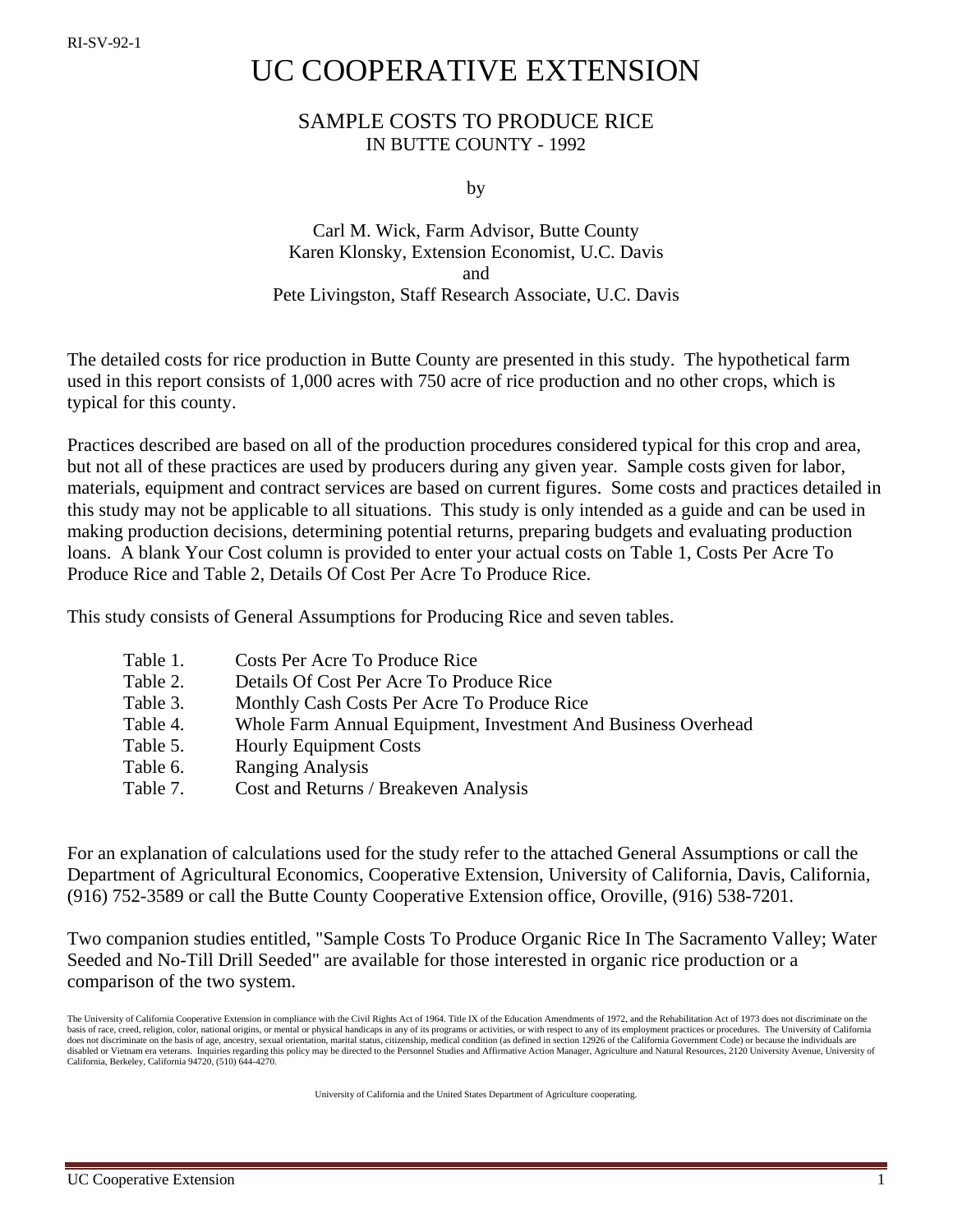# UC COOPERATIVE EXTENSION

## SAMPLE COSTS TO PRODUCE RICE IN BUTTE COUNTY - 1992

by

## Carl M. Wick, Farm Advisor, Butte County Karen Klonsky, Extension Economist, U.C. Davis and Pete Livingston, Staff Research Associate, U.C. Davis

The detailed costs for rice production in Butte County are presented in this study. The hypothetical farm used in this report consists of 1,000 acres with 750 acre of rice production and no other crops, which is typical for this county.

Practices described are based on all of the production procedures considered typical for this crop and area, but not all of these practices are used by producers during any given year. Sample costs given for labor, materials, equipment and contract services are based on current figures. Some costs and practices detailed in this study may not be applicable to all situations. This study is only intended as a guide and can be used in making production decisions, determining potential returns, preparing budgets and evaluating production loans. A blank Your Cost column is provided to enter your actual costs on Table 1, Costs Per Acre To Produce Rice and Table 2, Details Of Cost Per Acre To Produce Rice.

This study consists of General Assumptions for Producing Rice and seven tables.

| Table 1. | Costs Per Acre To Produce Rice                                |
|----------|---------------------------------------------------------------|
| Table 2. | Details Of Cost Per Acre To Produce Rice                      |
| Table 3. | Monthly Cash Costs Per Acre To Produce Rice                   |
| Table 4. | Whole Farm Annual Equipment, Investment And Business Overhead |
| Table 5. | <b>Hourly Equipment Costs</b>                                 |
| Table 6. | <b>Ranging Analysis</b>                                       |
| Table 7. | Cost and Returns / Breakeven Analysis                         |

For an explanation of calculations used for the study refer to the attached General Assumptions or call the Department of Agricultural Economics, Cooperative Extension, University of California, Davis, California, (916) 752-3589 or call the Butte County Cooperative Extension office, Oroville, (916) 538-7201.

Two companion studies entitled, "Sample Costs To Produce Organic Rice In The Sacramento Valley; Water Seeded and No-Till Drill Seeded" are available for those interested in organic rice production or a comparison of the two system.

The University of California Cooperative Extension in compliance with the Civil Rights Act of 1964. Title IX of the Education Amendments of 1972, and the Rehabilitation Act of 1973 does not discriminate on the basis of race, creed, religion, color, national origins, or mental or physical handicaps in any of its programs or activities, or with respect to any of its employment practices or procedures. The University of California does not discriminate on the basis of age, ancestry, sexual orientation, marital status, citizenship, medical condition (as defined in section 12926 of the California Government Code) or because the individuals are disabled or Vietnam era veterans. Inquiries regarding this policy may be directed to the Personnel Studies and Affirmative Action Manager, Agriculture and Natural Resources, 2120 University Avenue, University of California, Berkeley, California 94720, (510) 644-4270.

University of California and the United States Department of Agriculture cooperating.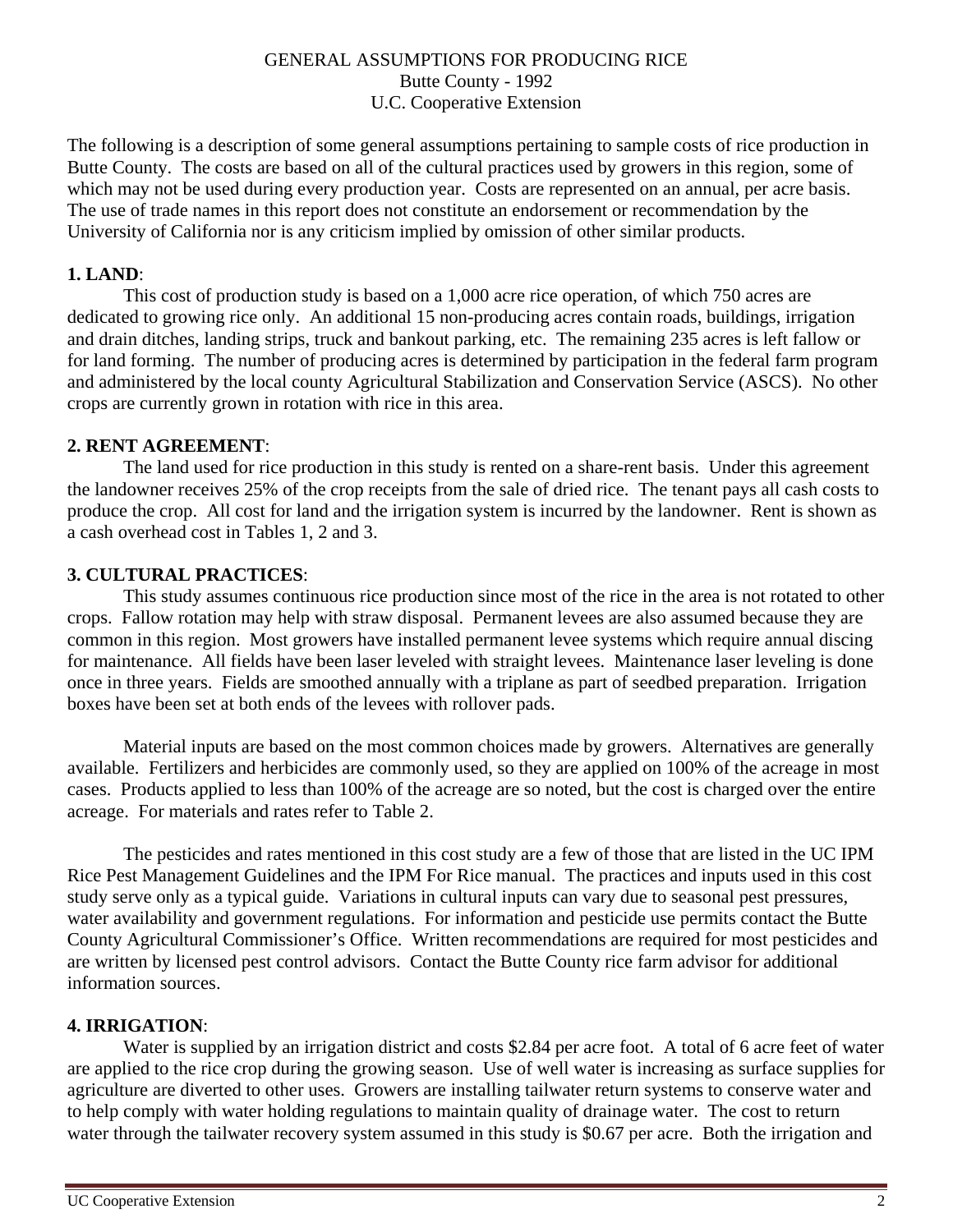#### GENERAL ASSUMPTIONS FOR PRODUCING RICE Butte County - 1992 U.C. Cooperative Extension

The following is a description of some general assumptions pertaining to sample costs of rice production in Butte County. The costs are based on all of the cultural practices used by growers in this region, some of which may not be used during every production year. Costs are represented on an annual, per acre basis. The use of trade names in this report does not constitute an endorsement or recommendation by the University of California nor is any criticism implied by omission of other similar products.

#### **1. LAND**:

This cost of production study is based on a 1,000 acre rice operation, of which 750 acres are dedicated to growing rice only. An additional 15 non-producing acres contain roads, buildings, irrigation and drain ditches, landing strips, truck and bankout parking, etc. The remaining 235 acres is left fallow or for land forming. The number of producing acres is determined by participation in the federal farm program and administered by the local county Agricultural Stabilization and Conservation Service (ASCS). No other crops are currently grown in rotation with rice in this area.

#### **2. RENT AGREEMENT**:

The land used for rice production in this study is rented on a share-rent basis. Under this agreement the landowner receives 25% of the crop receipts from the sale of dried rice. The tenant pays all cash costs to produce the crop. All cost for land and the irrigation system is incurred by the landowner. Rent is shown as a cash overhead cost in Tables 1, 2 and 3.

#### **3. CULTURAL PRACTICES**:

This study assumes continuous rice production since most of the rice in the area is not rotated to other crops. Fallow rotation may help with straw disposal. Permanent levees are also assumed because they are common in this region. Most growers have installed permanent levee systems which require annual discing for maintenance. All fields have been laser leveled with straight levees. Maintenance laser leveling is done once in three years. Fields are smoothed annually with a triplane as part of seedbed preparation. Irrigation boxes have been set at both ends of the levees with rollover pads.

Material inputs are based on the most common choices made by growers. Alternatives are generally available. Fertilizers and herbicides are commonly used, so they are applied on 100% of the acreage in most cases. Products applied to less than 100% of the acreage are so noted, but the cost is charged over the entire acreage. For materials and rates refer to Table 2.

The pesticides and rates mentioned in this cost study are a few of those that are listed in the UC IPM Rice Pest Management Guidelines and the IPM For Rice manual. The practices and inputs used in this cost study serve only as a typical guide. Variations in cultural inputs can vary due to seasonal pest pressures, water availability and government regulations. For information and pesticide use permits contact the Butte County Agricultural Commissioner's Office. Written recommendations are required for most pesticides and are written by licensed pest control advisors. Contact the Butte County rice farm advisor for additional information sources.

#### **4. IRRIGATION**:

Water is supplied by an irrigation district and costs \$2.84 per acre foot. A total of 6 acre feet of water are applied to the rice crop during the growing season. Use of well water is increasing as surface supplies for agriculture are diverted to other uses. Growers are installing tailwater return systems to conserve water and to help comply with water holding regulations to maintain quality of drainage water. The cost to return water through the tailwater recovery system assumed in this study is \$0.67 per acre. Both the irrigation and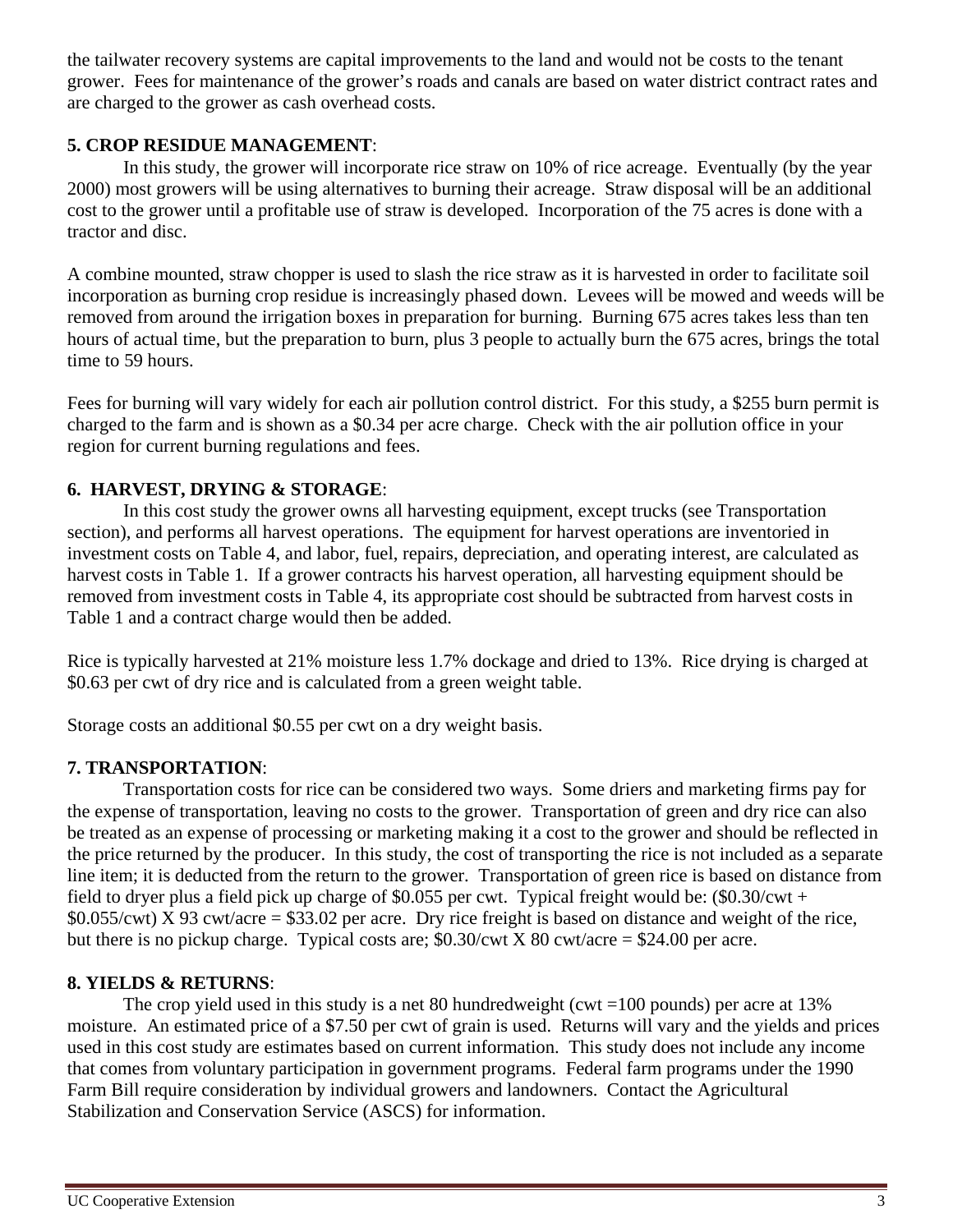the tailwater recovery systems are capital improvements to the land and would not be costs to the tenant grower. Fees for maintenance of the grower's roads and canals are based on water district contract rates and are charged to the grower as cash overhead costs.

## **5. CROP RESIDUE MANAGEMENT**:

In this study, the grower will incorporate rice straw on 10% of rice acreage. Eventually (by the year 2000) most growers will be using alternatives to burning their acreage. Straw disposal will be an additional cost to the grower until a profitable use of straw is developed. Incorporation of the 75 acres is done with a tractor and disc.

A combine mounted, straw chopper is used to slash the rice straw as it is harvested in order to facilitate soil incorporation as burning crop residue is increasingly phased down. Levees will be mowed and weeds will be removed from around the irrigation boxes in preparation for burning. Burning 675 acres takes less than ten hours of actual time, but the preparation to burn, plus 3 people to actually burn the 675 acres, brings the total time to 59 hours.

Fees for burning will vary widely for each air pollution control district. For this study, a \$255 burn permit is charged to the farm and is shown as a \$0.34 per acre charge. Check with the air pollution office in your region for current burning regulations and fees.

## **6. HARVEST, DRYING & STORAGE**:

In this cost study the grower owns all harvesting equipment, except trucks (see Transportation section), and performs all harvest operations. The equipment for harvest operations are inventoried in investment costs on Table 4, and labor, fuel, repairs, depreciation, and operating interest, are calculated as harvest costs in Table 1. If a grower contracts his harvest operation, all harvesting equipment should be removed from investment costs in Table 4, its appropriate cost should be subtracted from harvest costs in Table 1 and a contract charge would then be added.

Rice is typically harvested at 21% moisture less 1.7% dockage and dried to 13%. Rice drying is charged at \$0.63 per cwt of dry rice and is calculated from a green weight table.

Storage costs an additional \$0.55 per cwt on a dry weight basis.

## **7. TRANSPORTATION**:

Transportation costs for rice can be considered two ways. Some driers and marketing firms pay for the expense of transportation, leaving no costs to the grower. Transportation of green and dry rice can also be treated as an expense of processing or marketing making it a cost to the grower and should be reflected in the price returned by the producer. In this study, the cost of transporting the rice is not included as a separate line item; it is deducted from the return to the grower. Transportation of green rice is based on distance from field to dryer plus a field pick up charge of \$0.055 per cwt. Typical freight would be:  $(\$0.30/\text{cwt}$  +  $$0.055/cwt$ ) X 93 cwt/acre = \$33.02 per acre. Dry rice freight is based on distance and weight of the rice, but there is no pickup charge. Typical costs are;  $$0.30/cwt \times 80$  cwt/acre = \$24.00 per acre.

## **8. YIELDS & RETURNS**:

The crop yield used in this study is a net 80 hundredweight (cwt  $=100$  pounds) per acre at 13% moisture. An estimated price of a \$7.50 per cwt of grain is used. Returns will vary and the yields and prices used in this cost study are estimates based on current information. This study does not include any income that comes from voluntary participation in government programs. Federal farm programs under the 1990 Farm Bill require consideration by individual growers and landowners. Contact the Agricultural Stabilization and Conservation Service (ASCS) for information.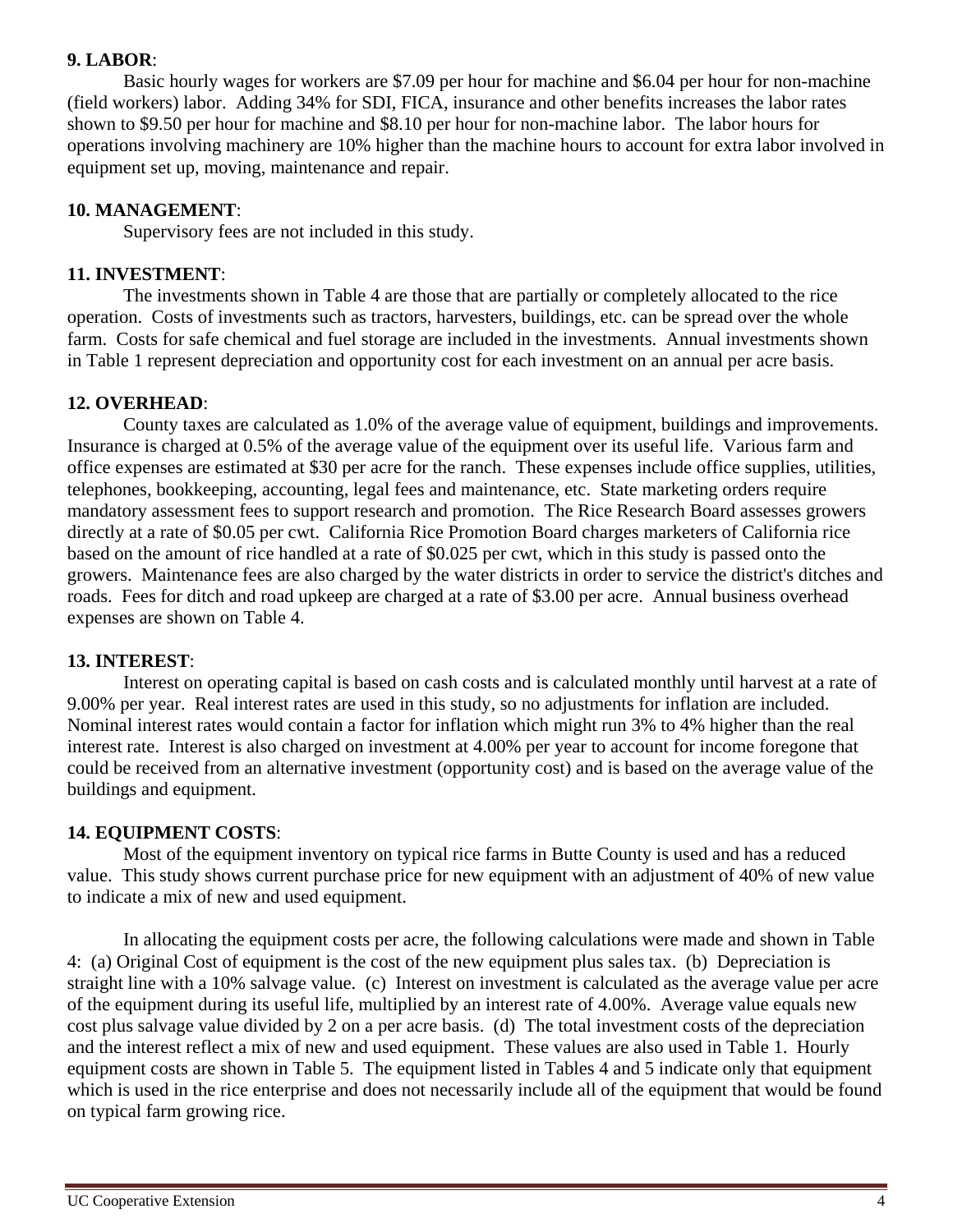#### **9. LABOR**:

Basic hourly wages for workers are \$7.09 per hour for machine and \$6.04 per hour for non-machine (field workers) labor. Adding 34% for SDI, FICA, insurance and other benefits increases the labor rates shown to \$9.50 per hour for machine and \$8.10 per hour for non-machine labor. The labor hours for operations involving machinery are 10% higher than the machine hours to account for extra labor involved in equipment set up, moving, maintenance and repair.

#### **10. MANAGEMENT**:

Supervisory fees are not included in this study.

#### **11. INVESTMENT**:

The investments shown in Table 4 are those that are partially or completely allocated to the rice operation. Costs of investments such as tractors, harvesters, buildings, etc. can be spread over the whole farm. Costs for safe chemical and fuel storage are included in the investments. Annual investments shown in Table 1 represent depreciation and opportunity cost for each investment on an annual per acre basis.

#### **12. OVERHEAD**:

County taxes are calculated as 1.0% of the average value of equipment, buildings and improvements. Insurance is charged at 0.5% of the average value of the equipment over its useful life. Various farm and office expenses are estimated at \$30 per acre for the ranch. These expenses include office supplies, utilities, telephones, bookkeeping, accounting, legal fees and maintenance, etc. State marketing orders require mandatory assessment fees to support research and promotion. The Rice Research Board assesses growers directly at a rate of \$0.05 per cwt. California Rice Promotion Board charges marketers of California rice based on the amount of rice handled at a rate of \$0.025 per cwt, which in this study is passed onto the growers. Maintenance fees are also charged by the water districts in order to service the district's ditches and roads. Fees for ditch and road upkeep are charged at a rate of \$3.00 per acre. Annual business overhead expenses are shown on Table 4.

#### **13. INTEREST**:

Interest on operating capital is based on cash costs and is calculated monthly until harvest at a rate of 9.00% per year. Real interest rates are used in this study, so no adjustments for inflation are included. Nominal interest rates would contain a factor for inflation which might run 3% to 4% higher than the real interest rate. Interest is also charged on investment at 4.00% per year to account for income foregone that could be received from an alternative investment (opportunity cost) and is based on the average value of the buildings and equipment.

#### **14. EQUIPMENT COSTS**:

Most of the equipment inventory on typical rice farms in Butte County is used and has a reduced value. This study shows current purchase price for new equipment with an adjustment of 40% of new value to indicate a mix of new and used equipment.

In allocating the equipment costs per acre, the following calculations were made and shown in Table 4: (a) Original Cost of equipment is the cost of the new equipment plus sales tax. (b) Depreciation is straight line with a 10% salvage value. (c) Interest on investment is calculated as the average value per acre of the equipment during its useful life, multiplied by an interest rate of 4.00%. Average value equals new cost plus salvage value divided by 2 on a per acre basis. (d) The total investment costs of the depreciation and the interest reflect a mix of new and used equipment. These values are also used in Table 1. Hourly equipment costs are shown in Table 5. The equipment listed in Tables 4 and 5 indicate only that equipment which is used in the rice enterprise and does not necessarily include all of the equipment that would be found on typical farm growing rice.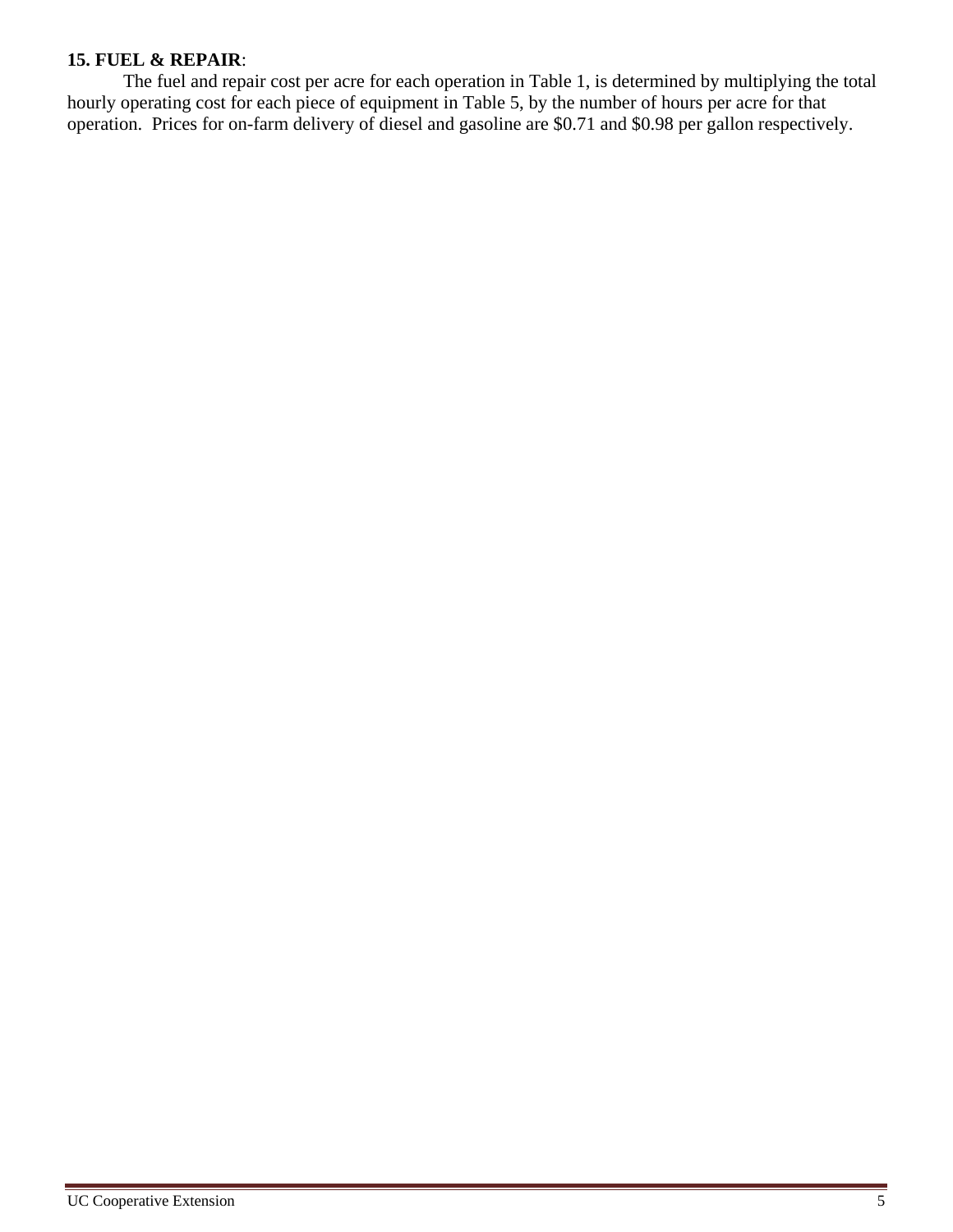## **15. FUEL & REPAIR**:

The fuel and repair cost per acre for each operation in Table 1, is determined by multiplying the total hourly operating cost for each piece of equipment in Table 5, by the number of hours per acre for that operation. Prices for on-farm delivery of diesel and gasoline are \$0.71 and \$0.98 per gallon respectively.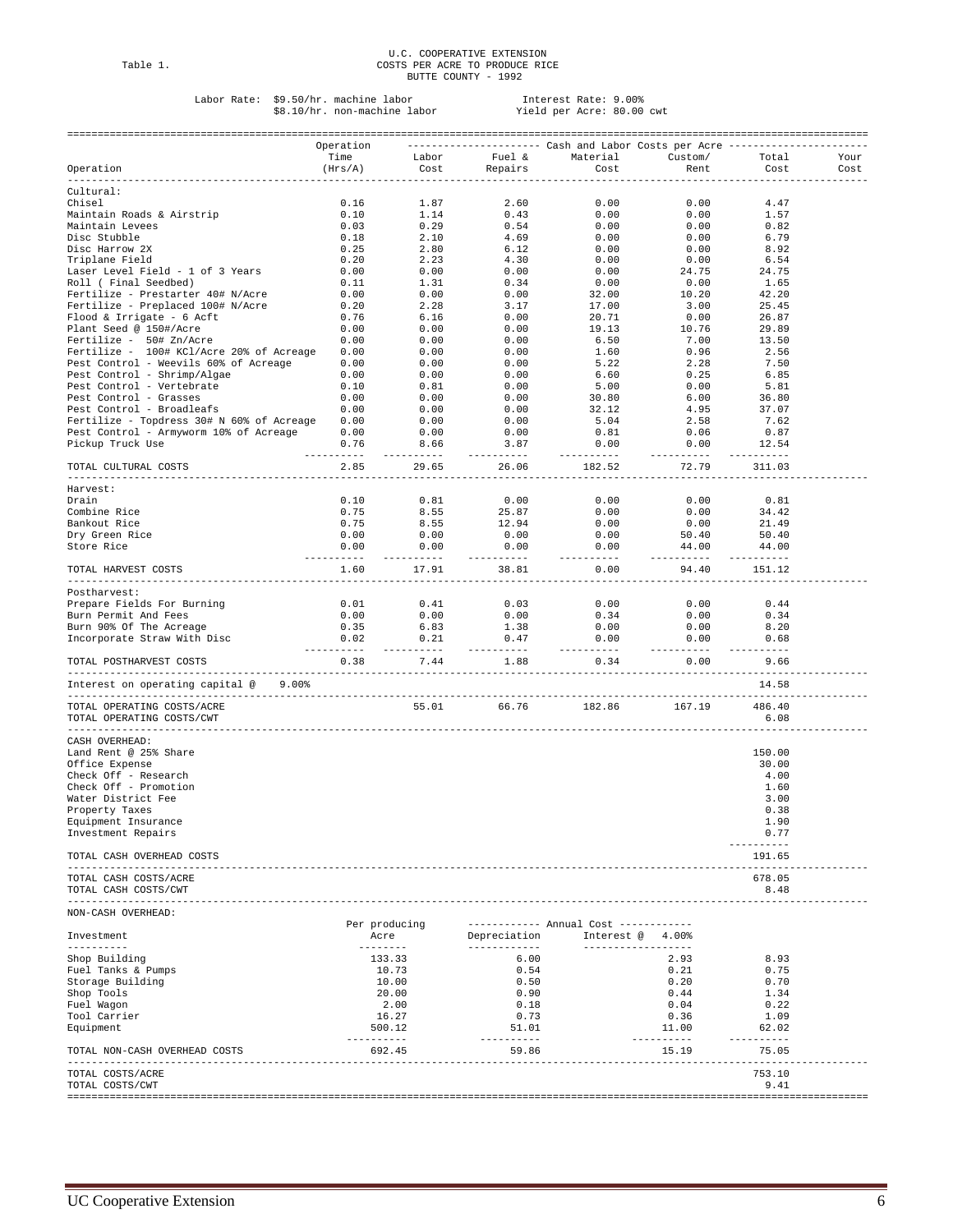## U.C. COOPERATIVE EXTENSION<br>Table 1. COSTS PER ACRE TO PRODUCE RICE<br>BUTTE COUNTY - 1992

## Labor Rate: \$9.50/hr. machine labor Interest Rate: 9.00% \$8.10/hr. non-machine labor Yield per Acre: 80.00 cwt

|                                                                 | Operation          |                          |                                                                                                | --------------------        Cash and Labor Costs per Acre -------------                                 |                           |                       |              |
|-----------------------------------------------------------------|--------------------|--------------------------|------------------------------------------------------------------------------------------------|---------------------------------------------------------------------------------------------------------|---------------------------|-----------------------|--------------|
| Operation                                                       | Time<br>(Hrs/A)    | Cost                     | Repairs                                                                                        | Labor Fuel & Material<br>Cost                                                                           | Custom/<br>Rent           | Total<br>Cost         | Your<br>Cost |
| ----------                                                      | ----------         |                          |                                                                                                |                                                                                                         |                           |                       |              |
| Cultural:                                                       |                    |                          |                                                                                                |                                                                                                         |                           |                       |              |
| Chisel                                                          | 0.16               | 1.87<br>$1.87$<br>$1.14$ | 2.60                                                                                           | 0.00<br>0.00                                                                                            | 0.00                      | 4.47                  |              |
| Maintain Roads & Airstrip<br>Maintain Levees                    | 0.10<br>0.03       | 0.29                     | 0.43<br>0.54                                                                                   |                                                                                                         | 0.00<br>0.00              | 1.57                  |              |
| Disc Stubble                                                    | 0.18               |                          |                                                                                                | 0.00<br>0.00                                                                                            | 0.00                      | 0.82<br>6.79          |              |
| Disc Harrow 2X                                                  | 0.25               |                          | $\begin{array}{ccc} 2.10 & & 4.69 \\ 2.80 & & 6.12 \\ 2.23 & & 4.30 \end{array}$               | 0.00                                                                                                    | 0.00                      | 8.92                  |              |
| Triplane Field                                                  | 0.20               |                          |                                                                                                | 0.00                                                                                                    | 0.00                      | 6.54                  |              |
| Laser Level Field - 1 of 3 Years                                | 0.00               | 0.00                     | 0.00                                                                                           | 0.00                                                                                                    | 24.75                     | 24.75                 |              |
| Roll ( Final Seedbed)                                           | 0.11               | $1.31$<br>$0.00$         | 0.34                                                                                           | 0.00                                                                                                    | 0.00<br>$0.00$<br>$10.20$ | 1.65                  |              |
| Fertilize - Prestarter 40# N/Acre                               | 0.00               |                          | 0.00                                                                                           | 32.00                                                                                                   |                           | 42.20                 |              |
| Fertilize - Preplaced 100# N/Acre                               | 0.20               | 2.28                     | $3.17$<br>$0.00$                                                                               | 17.00                                                                                                   | 3.00                      | 25.45                 |              |
| Flood & Irrigate - 6 Acft                                       | 0.76               | 6.16                     | 0.00                                                                                           | 20.71                                                                                                   | 0.00                      | 26.87<br>29.89        |              |
| Plant Seed @ 150#/Acre<br>Fertilize - 50# Zn/Acre               | 0.00<br>0.00       |                          | $\begin{array}{ccc} 0.00 & 0.00 \ 0.00 & 0.00 \ 0.00 & 0.00 \ 0.00 & 0.00 \end{array}$<br>0.00 | 19.13<br>6.50                                                                                           | 10.76<br>7.00             | 13.50                 |              |
| Fertilize - 100# KCl/Acre 20% of Acreage 0.00                   |                    |                          |                                                                                                | 1.60                                                                                                    | 0.96                      | 2.56                  |              |
| Pest Control - Weevils 60% of Acreage                           | 0.00               |                          |                                                                                                | 5.22                                                                                                    | 2.28                      | 7.50                  |              |
| Pest Control - Shrimp/Algae                                     | 0.00               | 0.00                     | 0.00                                                                                           | 6.60                                                                                                    | 0.25                      | 6.85                  |              |
| Pest Control - Vertebrate                                       | 0.10               | 0.81                     | 0.00                                                                                           | 5.00                                                                                                    | 0.00                      | 5.81                  |              |
| Pest Control - Grasses                                          | 0.00               |                          | $\begin{array}{ccc} 0.00 & 0.00 \ 0.00 & 0.00 \ 0.00 & 0.00 \end{array}$                       | $30.80$<br>$32.12$                                                                                      |                           | 6.00 36.80            |              |
| Pest Control - Broadleafs                                       | 0.00               |                          |                                                                                                |                                                                                                         | 4.95                      | 37.07                 |              |
| Fertilize - Topdress 30# N 60% of Acreage 0.00                  |                    |                          |                                                                                                | 5.04                                                                                                    | 2.58                      | 7.62                  |              |
| Pest Control - Armyworm 10% of Acreage 0.00<br>Pickup Truck Use | 0.76               | 0.00                     | 0.00<br>8.66 3.87                                                                              | 0.81<br>$0.00$ $0.00$                                                                                   | 0.06                      | 0.87<br>12.54         |              |
|                                                                 | -----------        | ------                   | .                                                                                              | ---------                                                                                               | ---------                 | -------               |              |
| TOTAL CULTURAL COSTS                                            | 2.85               | 29.65                    | 26.06                                                                                          | 182.52                                                                                                  | 72.79                     | 311.03                |              |
| Harvest:                                                        |                    |                          |                                                                                                |                                                                                                         |                           |                       |              |
| Drain                                                           | 0.10               | 0.81                     |                                                                                                | $25.87$<br>$12.94$<br>$\qquad 0.00$<br>$\qquad 0.00$<br>$\qquad 0.00$<br>$\qquad 0.00$<br>$\qquad 0.00$ | 0.00                      | 0.81                  |              |
| Combine Rice                                                    | 0.75               | 8.55                     |                                                                                                |                                                                                                         | 0.00                      | 34.42                 |              |
| Bankout Rice                                                    | 0.75               | 8.55                     | 12.94                                                                                          |                                                                                                         | 0.00                      | 21.49                 |              |
| Dry Green Rice                                                  | 0.00               | 0.00                     |                                                                                                |                                                                                                         | 50.40                     | 50.40                 |              |
| Store Rice                                                      | 0.00               | 0.00                     | 0.00                                                                                           | 0.00                                                                                                    | 44.00                     | 44.00                 |              |
| TOTAL HARVEST COSTS                                             | ---------<br>1.60  | -------<br>17.91         | -------<br>38.81                                                                               | ---------<br>0.00                                                                                       | ---------<br>94.40        | -------<br>151.12     |              |
|                                                                 |                    |                          |                                                                                                | ------                                                                                                  |                           |                       |              |
| Postharvest:                                                    |                    |                          | 0.03                                                                                           | 0.00                                                                                                    | 0.00                      |                       |              |
| Prepare Fields For Burning<br>Burn Permit And Fees              | 0.01<br>0.00       | 0.41<br>0.00             | 0.00                                                                                           |                                                                                                         | 0.00                      | 0.44<br>0.34          |              |
| Burn 90% Of The Acreage                                         | 0.35               | 6.83                     | 1.38                                                                                           | $0.34$<br>0.00                                                                                          | 0.00                      | 8.20                  |              |
| Incorporate Straw With Disc                                     | 0.02               | 0.21                     | 0.47                                                                                           | 0.00                                                                                                    | 0.00                      | 0.68                  |              |
| TOTAL POSTHARVEST COSTS                                         | ----------<br>0.38 | ----------<br>7.44       | ----------<br>1.88                                                                             | ----------<br>0.34                                                                                      | ----------<br>0.00        | $- - - - - -$<br>9.66 |              |
| ----------------------------                                    |                    |                          |                                                                                                |                                                                                                         |                           |                       |              |
| Interest on operating capital @ 9.00%                           |                    |                          |                                                                                                |                                                                                                         |                           | 14.58<br>------------ |              |
| TOTAL OPERATING COSTS/ACRE<br>TOTAL OPERATING COSTS/CWT         |                    | 55.01                    | 66.76                                                                                          | 182.86                                                                                                  | 167.19                    | 486.40<br>6.08        |              |
| CASH OVERHEAD:                                                  |                    |                          |                                                                                                |                                                                                                         |                           |                       |              |
| Land Rent @ 25% Share                                           |                    |                          |                                                                                                |                                                                                                         |                           | 150.00                |              |
| Office Expense                                                  |                    |                          |                                                                                                |                                                                                                         |                           | 30.00                 |              |
| Check Off - Research                                            |                    |                          |                                                                                                |                                                                                                         |                           | 4.00                  |              |
| Check Off - Promotion                                           |                    |                          |                                                                                                |                                                                                                         |                           | 1.60                  |              |
| Water District Fee                                              |                    |                          |                                                                                                |                                                                                                         |                           | 3.00                  |              |
| Property Taxes<br>Equipment Insurance                           |                    |                          |                                                                                                |                                                                                                         |                           | 0.38<br>1.90          |              |
| Investment Repairs                                              |                    |                          |                                                                                                |                                                                                                         |                           | 0.77                  |              |
|                                                                 |                    |                          |                                                                                                |                                                                                                         |                           | ----------            |              |
| TOTAL CASH OVERHEAD COSTS<br>____________________________       |                    |                          |                                                                                                |                                                                                                         |                           | 191.65                |              |
| TOTAL CASH COSTS/ACRE<br>TOTAL CASH COSTS/CWT                   |                    |                          |                                                                                                |                                                                                                         |                           | 678.05<br>8.48        |              |
| NON-CASH OVERHEAD:                                              |                    |                          |                                                                                                |                                                                                                         |                           |                       |              |
| Investment                                                      | Acre               | Per producing            | Depreciation                                                                                   | ----------- Annual Cost ------------<br>Interest $@ 4.00$ <sup>2</sup>                                  |                           |                       |              |
| ----------                                                      | --------           |                          | ------------                                                                                   | ------------------                                                                                      |                           |                       |              |
| Shop Building                                                   |                    | 133.33<br>10.73          | 6.00                                                                                           |                                                                                                         | 2.93                      | 8.93<br>0.75          |              |
| Fuel Tanks & Pumps<br>Storage Building                          |                    | 10.00                    | 0.54<br>0.50                                                                                   |                                                                                                         | 0.21<br>0.20              | 0.70                  |              |
| Shop Tools                                                      |                    | 20.00                    | 0.90                                                                                           |                                                                                                         | 0.44                      | 1.34                  |              |
| Fuel Wagon                                                      |                    | 2.00                     | 0.18                                                                                           |                                                                                                         | 0.04                      | 0.22                  |              |
| Tool Carrier                                                    |                    | 16.27                    | 0.73                                                                                           |                                                                                                         | 0.36                      | 1.09                  |              |
| Equipment                                                       | ---------          | 500.12                   | 51.01<br>----------                                                                            |                                                                                                         | 11.00<br>----------       | 62.02<br>----------   |              |
| TOTAL NON-CASH OVERHEAD COSTS                                   |                    | 692.45                   | 59.86                                                                                          |                                                                                                         | 15.19                     | 75.05                 |              |
| TOTAL COSTS/ACRE<br>TOTAL COSTS/CWT                             |                    |                          |                                                                                                |                                                                                                         |                           | 753.10<br>9.41        |              |
|                                                                 |                    |                          |                                                                                                |                                                                                                         |                           |                       |              |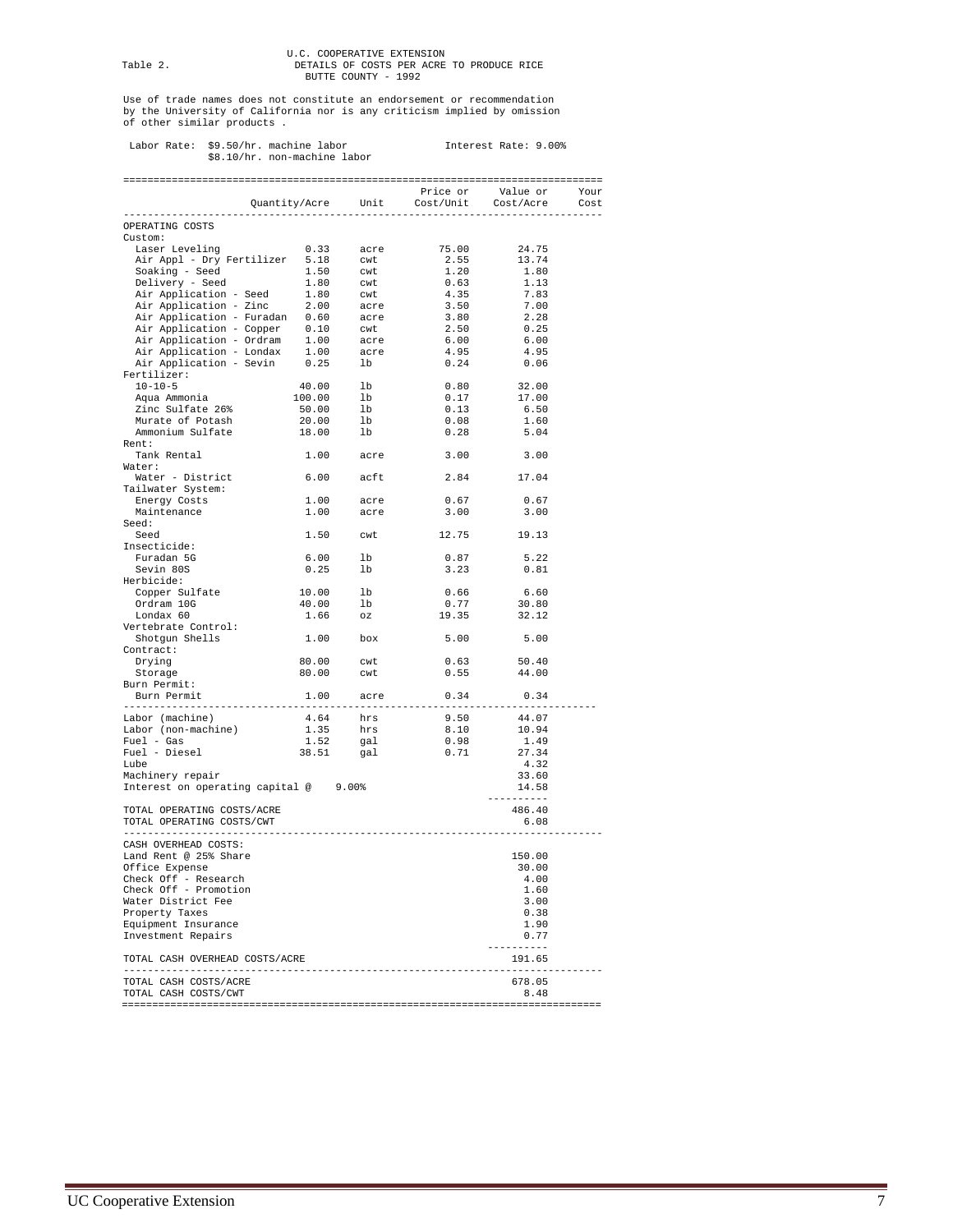# U.C. COOPERATIVE EXTENSION<br>DETAILS OF COSTS PER ACRE TO PRODUCE RICE<br>BUTTE COUNTY - 1992

Use of trade names does not constitute an endorsement or recommendation by the University of California nor is any criticism implied by omission of other similar products .

## Labor Rate: \$9.50/hr. machine labor Interest Rate: 9.00% \$8.10/hr. non-machine labor

|                                                                                                                                                                                                                                              |                                                                |                                  | Price or Value or Your<br>Quantity/Acre Unit Cost/Unit Cost/Acre Cost |                          |
|----------------------------------------------------------------------------------------------------------------------------------------------------------------------------------------------------------------------------------------------|----------------------------------------------------------------|----------------------------------|-----------------------------------------------------------------------|--------------------------|
| OPERATING COSTS                                                                                                                                                                                                                              |                                                                |                                  |                                                                       |                          |
| Custom:                                                                                                                                                                                                                                      |                                                                |                                  |                                                                       |                          |
| ustom:<br>Laser Leveling 0.33 acre<br>Air Appl - Dry Fertilizer 5.18 cwt<br>Soaking - Seed 1.50 cwt<br>Delivery - Seed 1.80 cwt<br>Air Application - Seed 1.80 cwt<br>Air Application - Zinc 2.00 acre<br>Air Application - Furadan 0.60 acr |                                                                |                                  | 75.00                                                                 | 24.75                    |
|                                                                                                                                                                                                                                              |                                                                |                                  | 2.55                                                                  | 13.74                    |
|                                                                                                                                                                                                                                              |                                                                |                                  | 1.20                                                                  | 1.80                     |
|                                                                                                                                                                                                                                              |                                                                |                                  | 0.63                                                                  | 1.13                     |
|                                                                                                                                                                                                                                              |                                                                |                                  | 4.35                                                                  | 7.83                     |
|                                                                                                                                                                                                                                              |                                                                |                                  | 3.50                                                                  | 7.00                     |
|                                                                                                                                                                                                                                              |                                                                |                                  | 3.80                                                                  | 2.28                     |
|                                                                                                                                                                                                                                              |                                                                |                                  | 2.50                                                                  | 0.25                     |
|                                                                                                                                                                                                                                              |                                                                |                                  | 6.00                                                                  | 6.00                     |
|                                                                                                                                                                                                                                              |                                                                |                                  | 4.95                                                                  | 4.95                     |
|                                                                                                                                                                                                                                              |                                                                |                                  | 0.24                                                                  | 0.06                     |
| Fertilizer:                                                                                                                                                                                                                                  |                                                                |                                  |                                                                       |                          |
|                                                                                                                                                                                                                                              |                                                                |                                  | $0.80$ 32.00                                                          |                          |
| Aqua Ammonia                                                                                                                                                                                                                                 |                                                                |                                  | 0.17                                                                  | 17.00                    |
|                                                                                                                                                                                                                                              |                                                                |                                  | 0.13                                                                  | 6.50                     |
|                                                                                                                                                                                                                                              |                                                                |                                  | 0.08                                                                  | 1.60                     |
| 10-10-5<br>10-10-5<br>Aqua Ammonia 100.00 lb<br>Zinc Sulfate 26% 50.00 lb<br>Murate of Potash 20.00 lb<br>Ammonium Sulfate 18.00 lb                                                                                                          |                                                                |                                  |                                                                       | $0.28$ 5.04              |
| Rent:                                                                                                                                                                                                                                        |                                                                |                                  |                                                                       |                          |
| Tank Rental                                                                                                                                                                                                                                  |                                                                | 1.00 acre                        | 3.00                                                                  | 3.00                     |
| Water:                                                                                                                                                                                                                                       |                                                                |                                  |                                                                       |                          |
| Water - District                                                                                                                                                                                                                             | 6.00 acft                                                      |                                  | 2.84 17.04                                                            |                          |
| Tailwater System:                                                                                                                                                                                                                            |                                                                |                                  |                                                                       |                          |
| Energy Costs                                                                                                                                                                                                                                 |                                                                |                                  | 0.67                                                                  | 0.67                     |
| Maintenance                                                                                                                                                                                                                                  | $1.00$ acre<br>$1.00$ acre                                     |                                  | 3.00                                                                  | 3.00                     |
| Seed:                                                                                                                                                                                                                                        |                                                                |                                  |                                                                       |                          |
| Seed                                                                                                                                                                                                                                         |                                                                |                                  | 1.50 cwt 12.75 19.13                                                  |                          |
| Insecticide:                                                                                                                                                                                                                                 |                                                                |                                  |                                                                       |                          |
| Furadan 5G                                                                                                                                                                                                                                   | $\begin{tabular}{ll} 6.00 & & 1b \\ 0.25 & & 1b \end{tabular}$ |                                  | 0.87                                                                  | 5.22                     |
| Sevin 80S                                                                                                                                                                                                                                    |                                                                |                                  | 3.23                                                                  | 0.81                     |
| Herbicide:                                                                                                                                                                                                                                   |                                                                |                                  |                                                                       |                          |
| Copper Sulfate                                                                                                                                                                                                                               | $10.00$ lb                                                     |                                  | $0.66$ 6.60                                                           |                          |
| Ordram 10G                                                                                                                                                                                                                                   | 40.00<br>$40.00$ lb<br>1.66 oz                                 |                                  | 0.77                                                                  | 30.80                    |
| Londax 60                                                                                                                                                                                                                                    |                                                                |                                  | 19.35                                                                 | 32.12                    |
| Vertebrate Control:                                                                                                                                                                                                                          |                                                                |                                  |                                                                       |                          |
| Shotgun Shells                                                                                                                                                                                                                               | 1.00 box                                                       |                                  | $5.00$ $5.00$                                                         |                          |
| Contract:                                                                                                                                                                                                                                    |                                                                |                                  |                                                                       |                          |
| Drying                                                                                                                                                                                                                                       | 80.00 cwt                                                      |                                  | 0.63                                                                  | 50.40                    |
| Storage                                                                                                                                                                                                                                      | 80.00 cwt                                                      |                                  | 0.55                                                                  | 44.00                    |
| Burn Permit:                                                                                                                                                                                                                                 |                                                                |                                  |                                                                       |                          |
| Burn Permit                                                                                                                                                                                                                                  |                                                                |                                  | 1.00 acre 0.34                                                        | 0.34                     |
|                                                                                                                                                                                                                                              |                                                                |                                  |                                                                       |                          |
| Labor (machine)<br>Labor (non-machine)                                                                                                                                                                                                       |                                                                |                                  |                                                                       | 9.50 44.07<br>8.10 10.94 |
|                                                                                                                                                                                                                                              |                                                                |                                  |                                                                       |                          |
| $Fuel - Gas$                                                                                                                                                                                                                                 |                                                                | 4.64 hrs<br>1.35 hrs<br>1.52 gal | 0.98                                                                  | 1.49                     |
| Fuel - Diesel                                                                                                                                                                                                                                | 38.51                                                          | gal                              | 0.71                                                                  | 27.34                    |
| Lube                                                                                                                                                                                                                                         |                                                                |                                  |                                                                       | 4.32                     |
| Machinery repair                                                                                                                                                                                                                             |                                                                |                                  |                                                                       | 33.60                    |
| Interest on operating capital @ 9.00%                                                                                                                                                                                                        |                                                                |                                  |                                                                       | 14.58<br>----------      |
|                                                                                                                                                                                                                                              |                                                                |                                  |                                                                       | 486.40                   |
| TOTAL OPERATING COSTS/ACRE                                                                                                                                                                                                                   |                                                                |                                  |                                                                       | 6.08                     |
| TOTAL OPERATING COSTS/CWT<br>--------------------                                                                                                                                                                                            |                                                                |                                  |                                                                       |                          |
| CASH OVERHEAD COSTS:                                                                                                                                                                                                                         |                                                                |                                  |                                                                       |                          |
| Land Rent @ 25% Share                                                                                                                                                                                                                        |                                                                |                                  |                                                                       | 150.00                   |
| Office Expense                                                                                                                                                                                                                               |                                                                |                                  |                                                                       | 30.00                    |
| Check Off - Research                                                                                                                                                                                                                         |                                                                |                                  |                                                                       | 4.00                     |
| Check Off - Promotion                                                                                                                                                                                                                        |                                                                |                                  |                                                                       | 1.60                     |
| Water District Fee                                                                                                                                                                                                                           |                                                                |                                  |                                                                       | 3.00                     |
| Property Taxes                                                                                                                                                                                                                               |                                                                |                                  |                                                                       | 0.38                     |
| Equipment Insurance                                                                                                                                                                                                                          |                                                                |                                  |                                                                       | 1.90                     |
| Investment Repairs                                                                                                                                                                                                                           |                                                                |                                  |                                                                       | 0.77                     |
|                                                                                                                                                                                                                                              |                                                                |                                  |                                                                       | ---------                |
|                                                                                                                                                                                                                                              |                                                                |                                  |                                                                       | 191.65                   |
|                                                                                                                                                                                                                                              |                                                                |                                  |                                                                       |                          |
| TOTAL CASH OVERHEAD COSTS/ACRE<br>---------------------                                                                                                                                                                                      |                                                                |                                  |                                                                       |                          |
| TOTAL CASH COSTS/ACRE                                                                                                                                                                                                                        |                                                                |                                  |                                                                       | 678.05                   |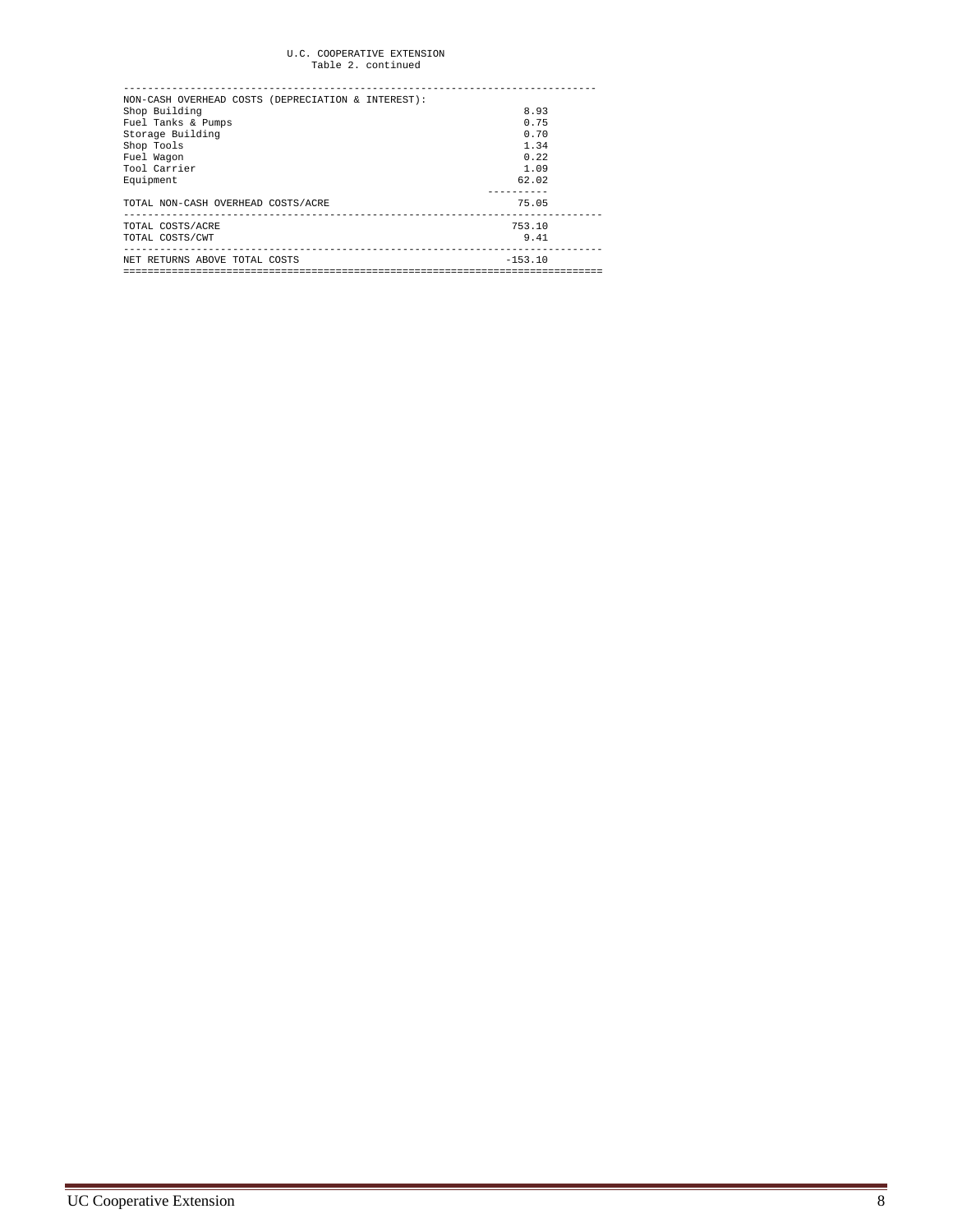## U.C. COOPERATIVE EXTENSION Table 2. continued

| NON-CASH OVERHEAD COSTS (DEPRECIATION & INTEREST): |           |
|----------------------------------------------------|-----------|
| Shop Building                                      | 8.93      |
| Fuel Tanks & Pumps                                 | 0.75      |
| Storage Building                                   | 0.70      |
| Shop Tools                                         | 1.34      |
| Fuel Wagon                                         | 0.22      |
| Tool Carrier                                       | 1.09      |
| Equipment                                          | 62.02     |
|                                                    |           |
| TOTAL NON-CASH OVERHEAD COSTS/ACRE                 | 75.05     |
|                                                    |           |
| TOTAL COSTS/ACRE                                   | 753.10    |
| TOTAL COSTS/CWT                                    | 9.41      |
| NET RETURNS ABOVE TOTAL COSTS                      | $-153.10$ |
|                                                    |           |
|                                                    |           |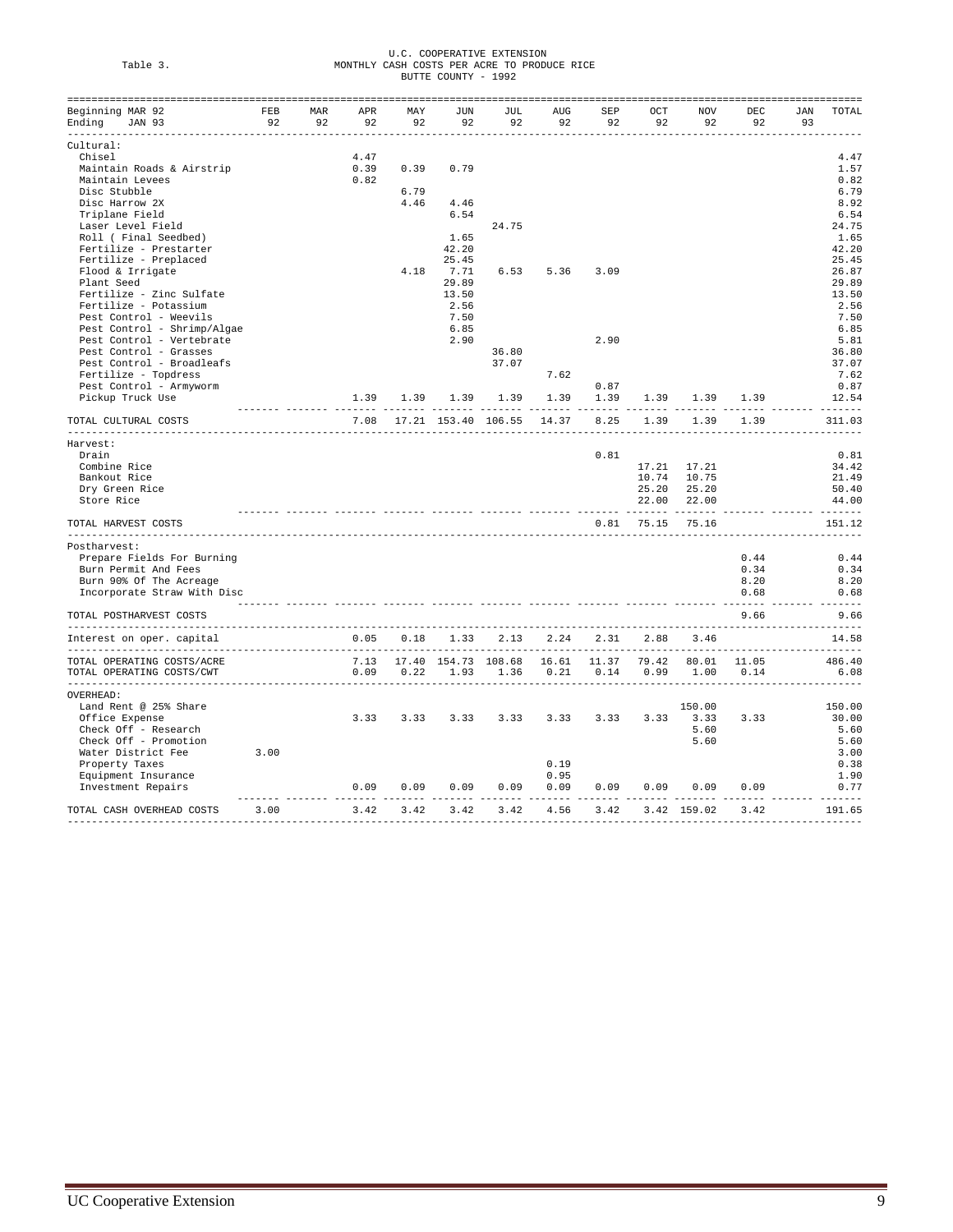|          | U.C. COOPERATIVE EXTENSION                  |
|----------|---------------------------------------------|
| Table 3. | MONTHLY CASH COSTS PER ACRE TO PRODUCE RICE |
|          | BUTTE COUNTY - 1992                         |

| Beginning MAR 92                                                                               | FEB   | MAR | APR       | MAY       | JUN   | JUL   | AUG                                          | SEP  | OCT          | NOV         | DEC                                     | JAN | TOTAL  |
|------------------------------------------------------------------------------------------------|-------|-----|-----------|-----------|-------|-------|----------------------------------------------|------|--------------|-------------|-----------------------------------------|-----|--------|
| Ending JAN 93                                                                                  | 92 92 |     |           | 92 92     | 92    | 92    | 92                                           | 92   | 92           | 92          | 92                                      | 93  |        |
| -----------------------                                                                        |       |     |           |           |       |       |                                              |      |              |             |                                         |     |        |
| Cultural:<br>Chisel                                                                            |       |     | 4.47      |           |       |       |                                              |      |              |             |                                         |     | 4.47   |
| Maintain Roads & Airstrip                                                                      |       |     | 0.39      | 0.39      | 0.79  |       |                                              |      |              |             |                                         |     | 1.57   |
| Maintain Levees                                                                                |       |     | 0.82      |           |       |       |                                              |      |              |             |                                         |     | 0.82   |
| Disc Stubble                                                                                   |       |     |           | 6.79      |       |       |                                              |      |              |             |                                         |     |        |
|                                                                                                |       |     |           |           |       |       |                                              |      |              |             |                                         |     | 6.79   |
| Disc Harrow 2X                                                                                 |       |     |           | 4.46      | 4.46  |       |                                              |      |              |             |                                         |     | 8.92   |
| Triplane Field                                                                                 |       |     |           |           | 6.54  |       |                                              |      |              |             |                                         |     | 6.54   |
| Laser Level Field                                                                              |       |     |           |           |       | 24.75 |                                              |      |              |             |                                         |     | 24.75  |
| Roll ( Final Seedbed)                                                                          |       |     |           |           | 1.65  |       |                                              |      |              |             |                                         |     | 1.65   |
| Fertilize - Prestarter                                                                         |       |     |           |           | 42.20 |       |                                              |      |              |             |                                         |     | 42.20  |
| Fertilize - Preplaced                                                                          |       |     |           |           | 25.45 |       |                                              |      |              |             |                                         |     | 25.45  |
| Flood & Irrigate                                                                               |       |     |           | 4.18      | 7.71  | 6.53  | 5.36                                         | 3.09 |              |             |                                         |     | 26.87  |
| Plant Seed                                                                                     |       |     |           |           | 29.89 |       |                                              |      |              |             |                                         |     | 29.89  |
| Fertilize - Zinc Sulfate                                                                       |       |     |           |           | 13.50 |       |                                              |      |              |             |                                         |     | 13.50  |
| Fertilize - Potassium                                                                          |       |     |           |           | 2.56  |       |                                              |      |              |             |                                         |     | 2.56   |
| Pest Control - Weevils                                                                         |       |     |           |           | 7.50  |       |                                              |      |              |             |                                         |     | 7.50   |
| Pest Control - Shrimp/Algae                                                                    |       |     |           |           | 6.85  |       |                                              |      |              |             |                                         |     | 6.85   |
| Pest Control - Vertebrate                                                                      |       |     |           |           | 2.90  |       |                                              | 2.90 |              |             |                                         |     | 5.81   |
|                                                                                                |       |     |           |           |       |       |                                              |      |              |             |                                         |     |        |
| Pest Control - Grasses                                                                         |       |     |           |           |       | 36.80 |                                              |      |              |             |                                         |     | 36.80  |
| Pest Control - Broadleafs                                                                      |       |     |           |           |       | 37.07 |                                              |      |              |             |                                         |     | 37.07  |
| Fertilize - Topdress                                                                           |       |     |           |           |       |       | 7.62                                         |      |              |             |                                         |     | 7.62   |
| Pest Control - Armyworm                                                                        |       |     |           |           |       |       |                                              | 0.87 |              |             |                                         |     | 0.87   |
| Pickup Truck Use                                                                               |       |     |           |           |       |       | 1.39 1.39 1.39 1.39 1.39                     | 1.39 |              |             | 1.39 1.39 1.39                          |     | 12.54  |
| TOTAL CULTURAL COSTS                                                                           |       |     |           |           |       |       | 7.08 17.21 153.40 106.55 14.37               | 8.25 | 1.39         | 1.39        | 1.39                                    |     | 311.03 |
| Harvest:                                                                                       |       |     |           |           |       |       |                                              |      |              |             |                                         |     |        |
| Drain                                                                                          |       |     |           |           |       |       |                                              | 0.81 |              |             |                                         |     | 0.81   |
|                                                                                                |       |     |           |           |       |       |                                              |      |              |             |                                         |     |        |
| Combine Rice                                                                                   |       |     |           |           |       |       |                                              |      |              | 17.21 17.21 |                                         |     | 34.42  |
| Bankout Rice                                                                                   |       |     |           |           |       |       |                                              |      |              | 10.74 10.75 |                                         |     | 21.49  |
| Dry Green Rice                                                                                 |       |     |           |           |       |       |                                              |      |              | 25.20 25.20 |                                         |     | 50.40  |
| Store Rice                                                                                     |       |     |           |           |       |       |                                              |      |              | 22.00 22.00 |                                         |     | 44.00  |
| TOTAL HARVEST COSTS                                                                            |       |     |           |           |       |       |                                              |      | $0.81$ 75.15 | 75.16       |                                         |     | 151.12 |
| Postharvest:                                                                                   |       |     |           |           |       |       |                                              |      |              |             |                                         |     |        |
| Prepare Fields For Burning                                                                     |       |     |           |           |       |       |                                              |      |              |             | 0.44                                    |     | 0.44   |
|                                                                                                |       |     |           |           |       |       |                                              |      |              |             | 0.34                                    |     | 0.34   |
| Burn Permit And Fees                                                                           |       |     |           |           |       |       |                                              |      |              |             |                                         |     |        |
| Burn 90% Of The Acreage                                                                        |       |     |           |           |       |       |                                              |      |              |             | 8.20                                    |     | 8.20   |
| Incorporate Straw With Disc                                                                    |       |     |           |           |       |       | academic concerto concerto concerto concerto |      |              |             | 0.68<br>------- ------- ------- ------- |     | 0.68   |
| TOTAL POSTHARVEST COSTS                                                                        |       |     |           |           |       |       |                                              |      |              |             | 9.66                                    |     | 9.66   |
| Interest on oper. capital                                                                      |       |     |           | 0.05 0.18 | 1.33  | 2.13  | 2.24                                         | 2.31 | 2.88         | 3.46        |                                         |     | 14.58  |
| TOTAL OPERATING COSTS/ACRE 66.40 7.13 17.40 154.73 108.68 16.61 11.37 79.42 80.01 11.05 486.40 |       |     |           |           |       |       |                                              |      |              |             |                                         |     |        |
| TOTAL OPERATING COSTS/CWT                                                                      |       |     |           | 0.09 0.22 | 1.93  | 1.36  | 0.21                                         | 0.14 | 0.99         |             | 1.00 0.14                               |     | 6.08   |
|                                                                                                |       |     |           |           |       |       |                                              |      |              |             | __________________________              |     |        |
| OVERHEAD:                                                                                      |       |     |           |           |       |       |                                              |      |              |             |                                         |     |        |
| Land Rent @ 25% Share                                                                          |       |     |           |           |       |       |                                              |      |              | 150.00      |                                         |     | 150.00 |
| Office Expense                                                                                 |       |     | 3.33      | 3.33      | 3.33  | 3.33  | 3.33                                         | 3.33 |              | 3.33 3.33   | 3.33                                    |     | 30.00  |
| Check Off - Research                                                                           |       |     |           |           |       |       |                                              |      |              | 5.60        |                                         |     | 5.60   |
| Check Off - Promotion                                                                          |       |     |           |           |       |       |                                              |      |              | 5.60        |                                         |     | 5.60   |
| Water District Fee                                                                             | 3.00  |     |           |           |       |       |                                              |      |              |             |                                         |     | 3.00   |
| Property Taxes                                                                                 |       |     |           |           |       |       | 0.19                                         |      |              |             |                                         |     | 0.38   |
| Equipment Insurance                                                                            |       |     |           |           |       |       | 0.95                                         |      |              |             |                                         |     | 1.90   |
| Investment Repairs                                                                             |       |     | 0.09 0.09 |           | 0.09  |       | 0.09 0.09                                    | 0.09 | 0.09         |             | $0.09$ $0.09$                           |     | 0.77   |
|                                                                                                |       |     |           |           |       |       |                                              |      |              |             |                                         |     |        |
| TOTAL CASH OVERHEAD COSTS                                                                      | 3.00  |     | 3.42      | 3.42      | 3.42  |       | 3.42 4.56                                    | 3.42 |              | 3.42 159.02 | 3.42                                    |     | 191.65 |
|                                                                                                |       |     |           |           |       |       |                                              |      |              |             |                                         |     |        |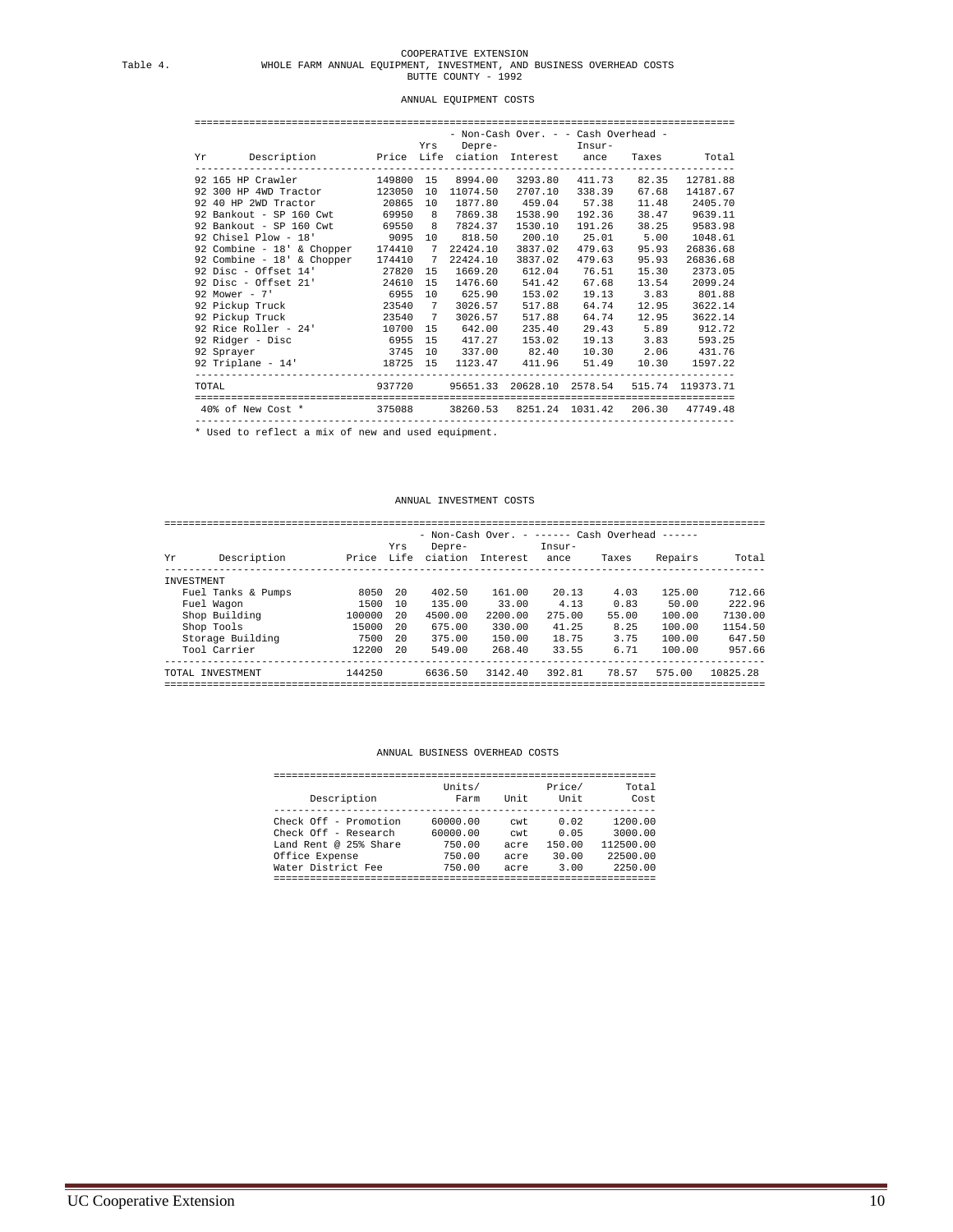# COOPERATIVE EXTENSION Table 4. WHOLE FARM ANNUAL EQUIPMENT, INVESTMENT, AND BUSINESS OVERHEAD COSTS BUTTE COUNTY - 1992

#### ANNUAL EQUIPMENT COSTS

|                                                                                                                            |  |          | - Non-Cash Over. - - Cash Overhead - |                    |       |                          |
|----------------------------------------------------------------------------------------------------------------------------|--|----------|--------------------------------------|--------------------|-------|--------------------------|
|                                                                                                                            |  |          | Yrs Depre- Insur-                    |                    |       |                          |
| Yr Description – Price Life ciation Interest ance Taxes – Total<br>--------------------                                    |  |          |                                      |                    |       |                          |
| 92 165 HP Crawler 149800 15 8994.00 3293.80 411.73 82.35 12781.88                                                          |  |          |                                      |                    |       |                          |
| 92 300 HP 4WD Tractor 123050 10 11074.50                                                                                   |  |          |                                      | 2707.10 338.39     | 67.68 | 14187.67                 |
| 92 40 HP 2WD Tractor<br>20865 10 1877.80 459.04 57.38                                                                      |  |          |                                      |                    |       | 11.48 2405.70            |
| 92 Bankout - SP 160 Cwt 69950 8 7869.38                                                                                    |  |          |                                      | 1538.90 192.36     | 38.47 | 9639.11                  |
| 92 Bankout - SP 160 Cwt 69550 8 7824.37                                                                                    |  |          |                                      | 1530.10 191.26     | 38.25 | 9583.98                  |
|                                                                                                                            |  |          |                                      |                    |       | 1048.61                  |
| 92 Chisel Plow - 18' 9095 10 818.50 200.10 25.01 5.00<br>92 Combine - 18' & Chopper 174410 7 22424.10 3837.02 479.63 95.93 |  |          |                                      |                    |       | 26836.68                 |
| 92 Combine - 18' & Chopper 174410 7                                                                                        |  | 22424.10 | 3837.02                              | 479.63             | 95.93 | 26836.68                 |
| 92 Disc - Offset 14' 27820 15 1669.20 612.04 76.51                                                                         |  |          |                                      |                    | 15.30 | 2373.05                  |
| 92 Disc - Offset 21' 24610 15 1476.60                                                                                      |  |          |                                      | 541.42 67.68 13.54 |       | 2099.24                  |
| 92 Mower - 7' 6955 10 625.90 153.02 19.13 3.83 801.88                                                                      |  |          |                                      |                    |       |                          |
| 92 Pickup Truck 23540 7 3026.57                                                                                            |  |          | 517.88                               | 64.74              | 12.95 | 3622.14                  |
| 92 Pickup Truck 23540 7 3026.57                                                                                            |  |          |                                      | 517.88 64.74 12.95 |       | 3622.14                  |
| 92 Rice Roller - 24' 10700 15 642.00                                                                                       |  |          |                                      |                    |       | 235.40 29.43 5.89 912.72 |
| 92 Ridger - Disc 6955 15 417.27 153.02 19.13 3.83 593.25                                                                   |  |          |                                      |                    |       |                          |
|                                                                                                                            |  |          |                                      |                    |       |                          |
| 92 Triplane - $14'$ 18725 15 1123.47 411.96 51.49 10.30 1597.22                                                            |  |          |                                      |                    |       |                          |
| TOTAL CORRESPONDENT MANUSIC MANAGER 10 1937720 95651.33 20628.10 2578.54 515.74 119373.71                                  |  |          |                                      |                    |       |                          |
| 40% of New Cost * 375088 38260.53 8251.24 1031.42 206.30 47749.48                                                          |  |          |                                      |                    |       |                          |

----------------------------------------------------------------------------------------- \* Used to reflect a mix of new and used equipment.

#### ANNUAL INVESTMENT COSTS

#### =================================================================================================== - Non-Cash Over. - ------ Cash Overhead ------

| Yr         | Description        |        | Yrs | Depre-<br>Price Life ciation | Interest | Insur-<br>ance | Taxes | Repairs | Total    |
|------------|--------------------|--------|-----|------------------------------|----------|----------------|-------|---------|----------|
| INVESTMENT |                    |        |     |                              |          |                |       |         |          |
|            | Fuel Tanks & Pumps | 8050   | -20 | 402.50                       | 161.00   | 20.13          | 4.03  | 125.00  | 712.66   |
|            | Fuel Wagon         | 1500   | 1 O | 135.00                       | 33.00    | 4.13           | 0.83  | 50.00   | 222.96   |
|            | Shop Building      | 100000 | 20  | 4500.00                      | 2200.00  | 275.00         | 55.00 | 100.00  | 7130.00  |
|            | Shop Tools         | 15000  | 20  | 675.00                       | 330.00   | 41.25          | 8.25  | 100.00  | 1154.50  |
|            | Storage Building   | 7500   | 20  | 375.00                       | 150.00   | 18.75          | 3.75  | 100.00  | 647.50   |
|            | Tool Carrier       | 12200  | 20  | 549.00                       | 268.40   | 33.55          | 6.71  | 100.00  | 957.66   |
|            | TOTAL INVESTMENT   | 144250 |     | 6636.50                      | 3142.40  | 392.81         | 78.57 | 575.00  | 10825.28 |
|            |                    |        |     |                              |          |                |       |         |          |

#### ANNUAL BUSINESS OVERHEAD COSTS

| Description           | Units/<br>Farm | Unit | Price/<br>Unit | Total<br>Cost |
|-----------------------|----------------|------|----------------|---------------|
| Check Off - Promotion | 60000.00       | cwt  | 0.02           | 1200.00       |
| Check Off - Research  | 60000.00       | cwt  | 0.05           | 3000.00       |
| Land Rent @ 25% Share | 750.00         | acre | 150.00         | 112500.00     |
| Office Expense        | 750.00         | acre | 30.00          | 22500.00      |
| Water District Fee    | 750.00         | acre | 3.00           | 2250.00       |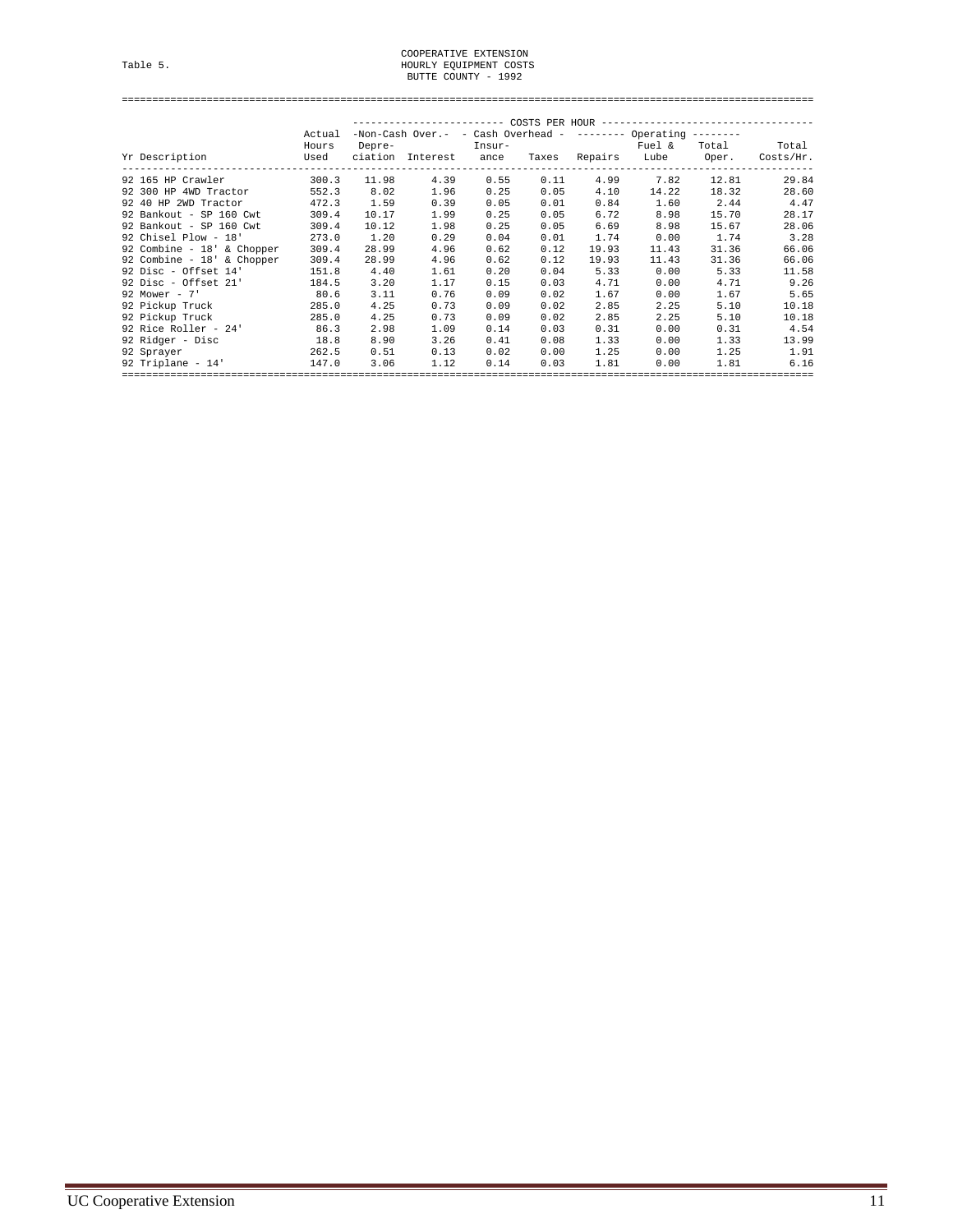# COOPERATIVE EXTENSION<br>HOURLY EQUIPMENT COSTS<br>BUTTE COUNTY - 1992

==================================================================================================================

|                              | Actual |        | $-$ Non-Cash Over.- - Cash Overhead - ------- Operating ------- |        |      |               |        |       |           |
|------------------------------|--------|--------|-----------------------------------------------------------------|--------|------|---------------|--------|-------|-----------|
|                              | Hours  | Depre- |                                                                 | Insur- |      |               | Fuel & | Total |           |
| Yr Description               | Used   |        | ciation Interest ance                                           |        |      | Taxes Repairs | Lube   | Oper. | Costs/Hr. |
| 92 165 HP Crawler            | 300.3  | 11.98  | 4.39                                                            | 0.55   | 0.11 | 4.99          | 7.82   | 12.81 |           |
| 92 300 HP 4WD Tractor        | 552.3  | 8.02   | 1.96                                                            | 0.25   | 0.05 | 4.10          | 14.22  | 18.32 |           |
| 92 40 HP 2WD Tractor         | 472.3  | 1.59   | 0.39                                                            | 0.05   | 0.01 | 0.84          | 1.60   | 2.44  |           |
| 92 Bankout - SP 160 Cwt      | 309.4  | 10.17  | 1.99                                                            | 0.25   | 0.05 | 6.72          | 8.98   | 15.70 |           |
| 92 Bankout - SP 160 Cwt      | 309.4  | 10.12  | 1.98                                                            | 0.25   | 0.05 | 6.69          | 8.98   | 15.67 |           |
| 92 Chisel Plow - 18'         | 273.0  | 1.20   | 0.29                                                            | 0.04   | 0.01 | 1.74          | 0.00   | 1.74  |           |
| 92 Combine - $18'$ & Chopper | 309.4  | 28.99  | 4.96                                                            | 0.62   | 0.12 | 19.93         | 11.43  | 31.36 |           |
| 92 Combine - 18' & Chopper   | 309.4  | 28.99  | 4.96                                                            | 0.62   | 0.12 | 19.93         | 11.43  | 31.36 |           |
| 92 Disc - Offset 14'         | 151.8  | 4.40   | 1.61                                                            | 0.20   | 0.04 | 5.33          | 0.00   | 5.33  |           |
| 92 Disc - Offset 21'         | 184.5  | 3.20   | 1.17                                                            | 0.15   | 0.03 | 4.71          | 0.00   | 4.71  |           |
| 92 Mower - $7'$              | 80.6   | 3.11   | 0.76                                                            | 0.09   | 0.02 | 1.67          | 0.00   | 1.67  |           |
| 92 Pickup Truck              | 285.0  | 4.25   | 0.73                                                            | 0.09   | 0.02 | 2.85          | 2.25   | 5.10  |           |
| 92 Pickup Truck              | 285.0  | 4.25   | 0.73                                                            | 0.09   | 0.02 | 2.85          | 2.25   | 5.10  |           |
| 92 Rice Roller - 24'         | 86.3   | 2.98   | 1.09                                                            | 0.14   | 0.03 | 0.31          | 0.00   | 0.31  |           |
| 92 Ridger - Disc             | 18.8   | 8.90   | 3.26                                                            | 0.41   | 0.08 | 1.33          | 0.00   | 1.33  |           |
| 92 Sprayer                   | 262.5  | 0.51   | 0.13                                                            | 0.02   | 0.00 | 1.25          | 0.00   | 1.25  |           |
| 92 Triplane - 14'            | 147.0  | 3.06   | 1.12                                                            | 0.14   | 0.03 | 1.81          | 0.00   | 1.81  |           |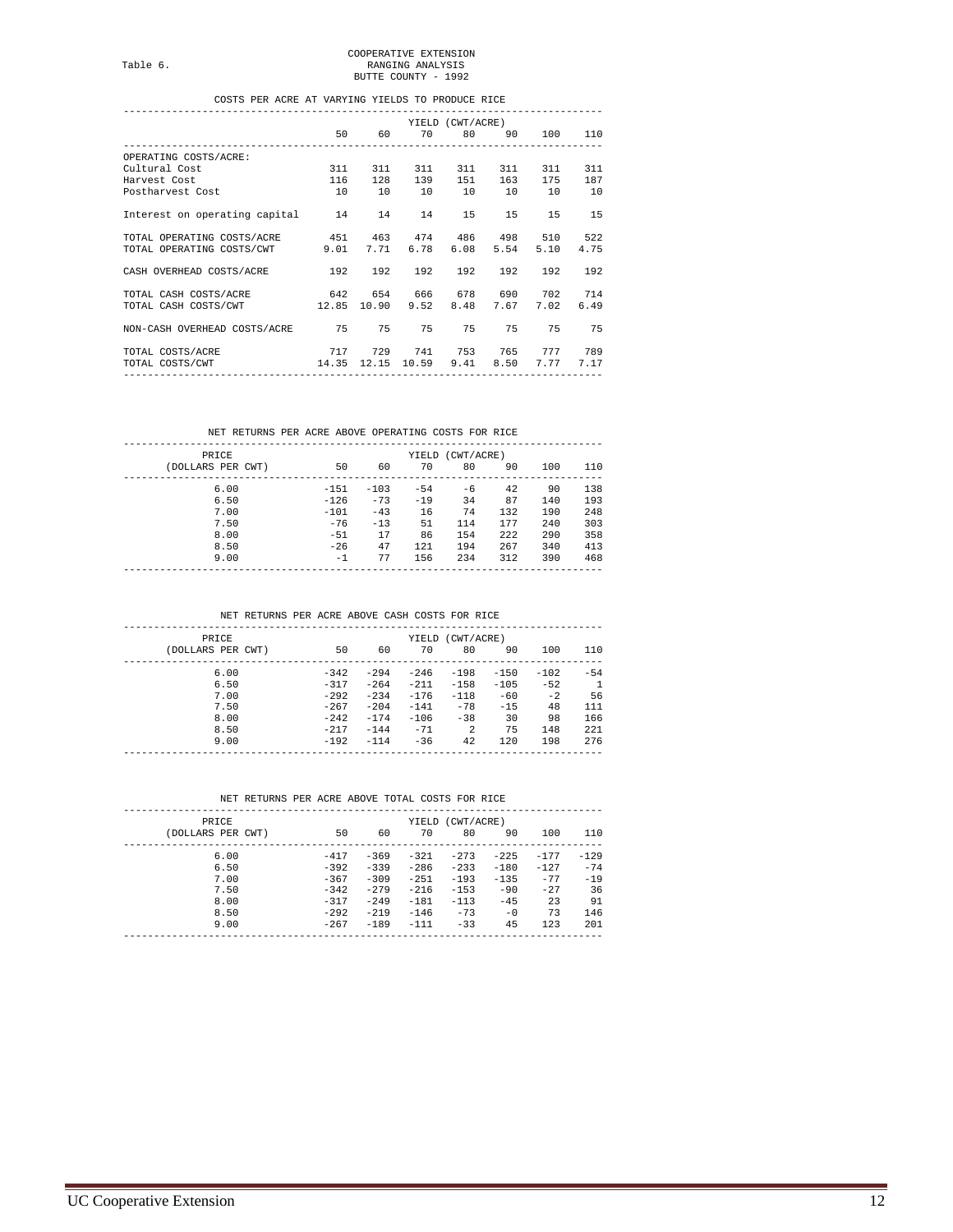COOPERATIVE EXTENSION<br>RANGING ANALYSIS<br>BUTTE COUNTY - 1992

#### COSTS PER ACRE AT VARYING YIELDS TO PRODUCE RICE

|                                                       |          |         |                                          | YIELD (CWT/ACRE) |             |           |      |
|-------------------------------------------------------|----------|---------|------------------------------------------|------------------|-------------|-----------|------|
|                                                       |          |         | 50    60    70    80    90    100    110 |                  |             |           |      |
| OPERATING COSTS/ACRE:                                 |          |         |                                          |                  |             |           |      |
| Cultural Cost                                         |          | 311 311 |                                          |                  | 311 311 311 | 311       | 311  |
| Harvest Cost                                          |          |         | 116 128 139 151 163 175                  |                  |             |           | 187  |
| Postharvest Cost                                      | 10 10 10 |         |                                          |                  | 10 10 10    |           | 10   |
| Interest on operating capital 14                      |          |         | 14 14                                    | 15               | 15          | 15        | 15   |
| TOTAL OPERATING COSTS/ACRE 451 463 474 486 498 510    |          |         |                                          |                  |             |           | 522  |
| TOTAL OPERATING COSTS/CWT 9.01 7.71 6.78 6.08         |          |         |                                          |                  |             | 5.54 5.10 | 4.75 |
| CASH OVERHEAD COSTS/ACRE 192 192 192 192 192          |          |         |                                          |                  |             | 192       | 192  |
| TOTAL CASH COSTS/ACRE 642 654 666 678 690 702         |          |         |                                          |                  |             |           | 714  |
| TOTAL CASH COSTS/CWT 12.85 10.90 9.52 8.48            |          |         |                                          |                  |             | 7.67 7.02 | 6.49 |
| NON-CASH OVERHEAD COSTS/ACRE 75 75 75 75              |          |         |                                          |                  |             | 75 75     | 75   |
| 717 729 741 753 765 777<br>TOTAL COSTS/ACRE           |          |         |                                          |                  |             |           | 789  |
| TOTAL COSTS/CWT 14.35 12.15 10.59 9.41 8.50 7.77 7.17 |          |         |                                          |                  |             |           |      |
|                                                       |          |         |                                          |                  |             |           |      |

#### NET RETURNS PER ACRE ABOVE OPERATING COSTS FOR RICE

| PRICE             |        |        |       | YIELD (CWT/ACRE) |        |      |     |
|-------------------|--------|--------|-------|------------------|--------|------|-----|
| (DOLLARS PER CWT) | 50     | 60     | 70    | 80               | 90     | 100  | 110 |
| 6.00              | $-151$ | $-103$ | $-54$ | -6               | 42     | 90   | 138 |
| 6.50              | $-126$ | $-73$  | $-19$ | 34               | 87     | 140  | 193 |
| 7.00              | $-101$ | $-43$  | 16    | 74               | 132    | 190  | 248 |
| 7.50              | $-76$  | $-13$  | 51    | 114              | 177    | 2.40 | 303 |
| 8.00              | $-51$  | 17     | 86    | 154              | 2.2.2. | 290  | 358 |
| 8.50              | $-26$  | 47     | 121   | 194              | 267    | 340  | 413 |
| 9.00              | $-1$   | 77     | 156   | 234              | 312    | 390  | 468 |

#### NET RETURNS PER ACRE ABOVE CASH COSTS FOR RICE

| <b>PRTCE</b>      | YIELD (CWT/ACRE) |        |        |                |        |        |              |  |
|-------------------|------------------|--------|--------|----------------|--------|--------|--------------|--|
| (DOLLARS PER CWT) | 50               | 60     | 70     | 80             | 90     | 100    | 110          |  |
| 6.00              | $-342$           | $-294$ | $-246$ | $-198$         | $-150$ | $-102$ | $-54$        |  |
| 6.50              | $-317$           | $-264$ | $-211$ | $-158$         | $-105$ | $-52$  | $\mathbf{1}$ |  |
| 7.00              | $-292$           | $-234$ | $-176$ | $-118$         | $-60$  | $-2.$  | 56           |  |
| 7.50              | $-267$           | $-204$ | $-141$ | $-78$          | $-15$  | 48     | 111          |  |
| 8.00              | $-2.42$          | $-174$ | $-106$ | $-38$          | 30     | 98     | 166          |  |
| 8.50              | $-217$           | $-144$ | $-71$  | $\mathfrak{D}$ | 75     | 148    | 221          |  |
| 9.00              | $-192$           | $-114$ | $-36$  | 42             | 120    | 198    | 276          |  |

#### NET RETURNS PER ACRE ABOVE TOTAL COSTS FOR RICE

| PRICE<br>(DOLLARS PER CWT) | 50     | 60      | 70     | YIELD (CWT/ACRE)<br>80 | 90     | 100    | 110    |
|----------------------------|--------|---------|--------|------------------------|--------|--------|--------|
|                            |        |         |        |                        |        |        |        |
| 6.00                       | $-417$ | $-369$  | $-321$ | $-273$                 | $-225$ | $-177$ | $-129$ |
| 6.50                       | $-392$ | $-339$  | $-286$ | $-233$                 | $-180$ | $-127$ | $-74$  |
| 7.00                       | $-367$ | $-309$  | $-251$ | $-193$                 | $-135$ | $-77$  | $-19$  |
| 7.50                       | $-342$ | $-279$  | $-216$ | $-153$                 | $-90$  | $-2.7$ | 36     |
| 8.00                       | $-317$ | $-2.49$ | $-181$ | $-113$                 | $-45$  | 23     | 91     |
| 8.50                       | $-292$ | $-219$  | $-146$ | $-73$                  | $-0$   | 73     | 146    |
| 9.00                       | $-267$ | $-189$  | $-111$ | $-33$                  | 45     | 123    | 201    |
|                            |        |         |        |                        |        |        |        |